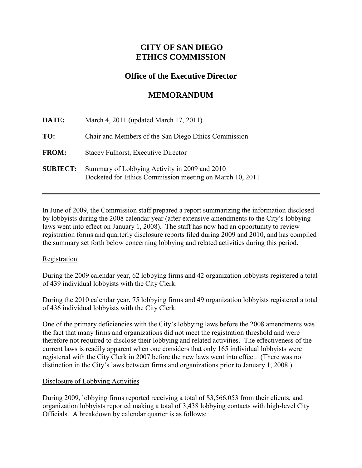# **CITY OF SAN DIEGO ETHICS COMMISSION**

# **Office of the Executive Director**

# **MEMORANDUM**

| DATE:           | March 4, 2011 (updated March 17, 2011)                                                                    |  |
|-----------------|-----------------------------------------------------------------------------------------------------------|--|
| TO:             | Chair and Members of the San Diego Ethics Commission                                                      |  |
| <b>FROM:</b>    | <b>Stacey Fulhorst, Executive Director</b>                                                                |  |
| <b>SUBJECT:</b> | Summary of Lobbying Activity in 2009 and 2010<br>Docketed for Ethics Commission meeting on March 10, 2011 |  |

In June of 2009, the Commission staff prepared a report summarizing the information disclosed by lobbyists during the 2008 calendar year (after extensive amendments to the City's lobbying laws went into effect on January 1, 2008). The staff has now had an opportunity to review registration forms and quarterly disclosure reports filed during 2009 and 2010, and has compiled the summary set forth below concerning lobbying and related activities during this period.

## **Registration**

During the 2009 calendar year, 62 lobbying firms and 42 organization lobbyists registered a total of 439 individual lobbyists with the City Clerk.

During the 2010 calendar year, 75 lobbying firms and 49 organization lobbyists registered a total of 436 individual lobbyists with the City Clerk.

One of the primary deficiencies with the City's lobbying laws before the 2008 amendments was the fact that many firms and organizations did not meet the registration threshold and were therefore not required to disclose their lobbying and related activities. The effectiveness of the current laws is readily apparent when one considers that only 165 individual lobbyists were registered with the City Clerk in 2007 before the new laws went into effect. (There was no distinction in the City's laws between firms and organizations prior to January 1, 2008.)

## Disclosure of Lobbying Activities

During 2009, lobbying firms reported receiving a total of \$3,566,053 from their clients, and organization lobbyists reported making a total of 3,438 lobbying contacts with high-level City Officials. A breakdown by calendar quarter is as follows: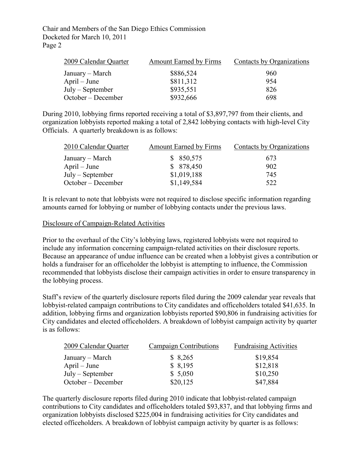Chair and Members of the San Diego Ethics Commission Docketed for March 10, 2011 Page 2

| 2009 Calendar Quarter | <b>Amount Earned by Firms</b> | Contacts by Organizations |
|-----------------------|-------------------------------|---------------------------|
| January – March       | \$886,524                     | 960                       |
| $April - June$        | \$811,312                     | 954                       |
| $July - September$    | \$935,551                     | 826                       |
| October – December    | \$932,666                     | 698                       |

During 2010, lobbying firms reported receiving a total of \$3,897,797 from their clients, and organization lobbyists reported making a total of 2,842 lobbying contacts with high-level City Officials. A quarterly breakdown is as follows:

| <b>Amount Earned by Firms</b> | Contacts by Organizations |
|-------------------------------|---------------------------|
| \$850,575                     | 673                       |
| \$ 878,450                    | 902                       |
| \$1,019,188                   | 745                       |
| \$1,149,584                   | 522                       |
|                               |                           |

It is relevant to note that lobbyists were not required to disclose specific information regarding amounts earned for lobbying or number of lobbying contacts under the previous laws.

#### Disclosure of Campaign-Related Activities

Prior to the overhaul of the City's lobbying laws, registered lobbyists were not required to include any information concerning campaign-related activities on their disclosure reports. Because an appearance of undue influence can be created when a lobbyist gives a contribution or holds a fundraiser for an officeholder the lobbyist is attempting to influence, the Commission recommended that lobbyists disclose their campaign activities in order to ensure transparency in the lobbying process.

Staff's review of the quarterly disclosure reports filed during the 2009 calendar year reveals that lobbyist-related campaign contributions to City candidates and officeholders totaled \$41,635. In addition, lobbying firms and organization lobbyists reported \$90,806 in fundraising activities for City candidates and elected officeholders. A breakdown of lobbyist campaign activity by quarter is as follows:

| 2009 Calendar Quarter | Campaign Contributions | <b>Fundraising Activities</b> |
|-----------------------|------------------------|-------------------------------|
| January – March       | \$8,265                | \$19,854                      |
| $April - June$        | \$8,195                | \$12,818                      |
| $July - September$    | \$5,050                | \$10,250                      |
| October – December    | \$20,125               | \$47,884                      |

The quarterly disclosure reports filed during 2010 indicate that lobbyist-related campaign contributions to City candidates and officeholders totaled \$93,837, and that lobbying firms and organization lobbyists disclosed \$225,004 in fundraising activities for City candidates and elected officeholders. A breakdown of lobbyist campaign activity by quarter is as follows: